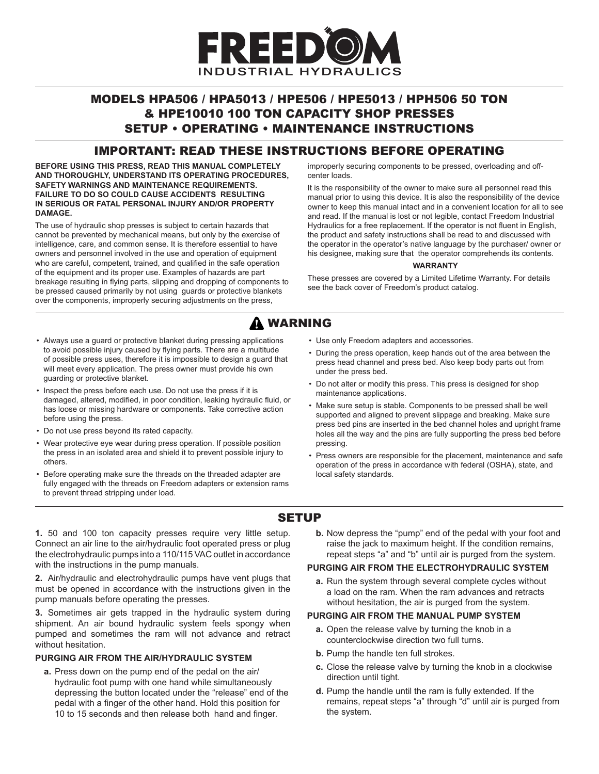

# MODELS HPA506 / HPA5013 / HPE506 / HPE5013 / HPH506 50 TON & HPE10010 100 TON CAPACITY SHOP PRESSES SETUP • OPERATING • MAINTENANCE INSTRUCTIONS

### IMPORTANT: READ THESE INSTRUCTIONS BEFORE OPERATING

**BEFORE USING THIS PRESS, READ THIS MANUAL COMPLETELY AND THOROUGHLY, UNDERSTAND ITS OPERATING PROCEDURES, SAFETY WARNINGS AND MAINTENANCE REQUIREMENTS. FAILURE TO DO SO COULD CAUSE ACCIDENTS RESULTING IN SERIOUS OR FATAL PERSONAL INJURY AND/OR PROPERTY DAMAGE.**

The use of hydraulic shop presses is subject to certain hazards that cannot be prevented by mechanical means, but only by the exercise of intelligence, care, and common sense. It is therefore essential to have owners and personnel involved in the use and operation of equipment who are careful, competent, trained, and qualified in the safe operation of the equipment and its proper use. Examples of hazards are part breakage resulting in flying parts, slipping and dropping of components to be pressed caused primarily by not using guards or protective blankets over the components, improperly securing adjustments on the press,

improperly securing components to be pressed, overloading and offcenter loads.

It is the responsibility of the owner to make sure all personnel read this manual prior to using this device. It is also the responsibility of the device owner to keep this manual intact and in a convenient location for all to see and read. If the manual is lost or not legible, contact Freedom Industrial Hydraulics for a free replacement. If the operator is not fluent in English, the product and safety instructions shall be read to and discussed with the operator in the operator's native language by the purchaser/ owner or his designee, making sure that the operator comprehends its contents.

#### **WARRANTY**

These presses are covered by a Limited Lifetime Warranty. For details see the back cover of Freedom's product catalog.

# **A WARNING**

- Always use a guard or protective blanket during pressing applications to avoid possible injury caused by flying parts. There are a multitude of possible press uses, therefore it is impossible to design a guard that will meet every application. The press owner must provide his own guarding or protective blanket.
- Inspect the press before each use. Do not use the press if it is damaged, altered, modified, in poor condition, leaking hydraulic fluid, or has loose or missing hardware or components. Take corrective action before using the press.
- Do not use press beyond its rated capacity.
- Wear protective eye wear during press operation. If possible position the press in an isolated area and shield it to prevent possible injury to others.
- Before operating make sure the threads on the threaded adapter are fully engaged with the threads on Freedom adapters or extension rams to prevent thread stripping under load.
- Use only Freedom adapters and accessories.
- During the press operation, keep hands out of the area between the press head channel and press bed. Also keep body parts out from under the press bed.
- Do not alter or modify this press. This press is designed for shop maintenance applications.
- Make sure setup is stable. Components to be pressed shall be well supported and aligned to prevent slippage and breaking. Make sure press bed pins are inserted in the bed channel holes and upright frame holes all the way and the pins are fully supporting the press bed before pressing.
- Press owners are responsible for the placement, maintenance and safe operation of the press in accordance with federal (OSHA), state, and local safety standards.

# **SETUP**

**1.** 50 and 100 ton capacity presses require very little setup. Connect an air line to the air/hydraulic foot operated press or plug the electrohydraulic pumps into a 110/115 VAC outlet in accordance with the instructions in the pump manuals.

**2.** Air/hydraulic and electrohydraulic pumps have vent plugs that must be opened in accordance with the instructions given in the pump manuals before operating the presses.

**3.** Sometimes air gets trapped in the hydraulic system during shipment. An air bound hydraulic system feels spongy when pumped and sometimes the ram will not advance and retract without hesitation.

#### **PURGING AIR FROM THE AIR/HYDRAULIC SYSTEM**

**a.** Press down on the pump end of the pedal on the air/ hydraulic foot pump with one hand while simultaneously depressing the button located under the "release" end of the pedal with a finger of the other hand. Hold this position for 10 to 15 seconds and then release both hand and finger.

**b.** Now depress the "pump" end of the pedal with your foot and raise the jack to maximum height. If the condition remains, repeat steps "a" and "b" until air is purged from the system.

#### **PURGING AIR FROM THE ELECTROHYDRAULIC SYSTEM**

**a.** Run the system through several complete cycles without a load on the ram. When the ram advances and retracts without hesitation, the air is purged from the system.

#### **PURGING AIR FROM THE MANUAL PUMP SYSTEM**

- **a.** Open the release valve by turning the knob in a counterclockwise direction two full turns.
- **b.** Pump the handle ten full strokes.
- **c.** Close the release valve by turning the knob in a clockwise direction until tight.
- **d.** Pump the handle until the ram is fully extended. If the remains, repeat steps "a" through "d" until air is purged from the system.